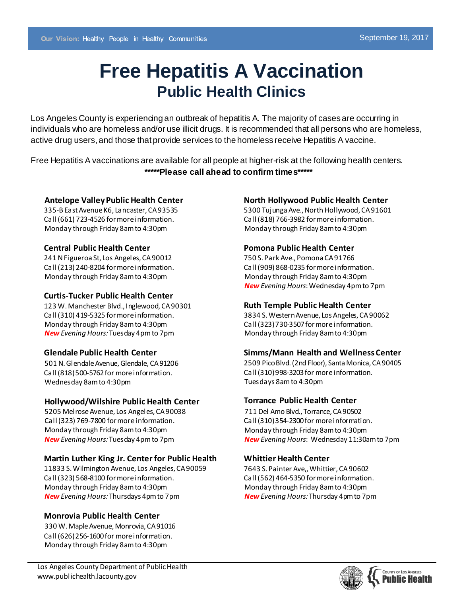# **Free Hepatitis A Vaccination Public Health Clinics**

Los Angeles County is experiencing an outbreak of hepatitis A. The majority of cases are occurring in individuals who are homeless and/or use illicit drugs. It is recommended that all persons who are homeless, active drug users, and those that provide services to the homeless receive Hepatitis A vaccine.

Free Hepatitis A vaccinations are available for all people at higher-risk at the following health centers. **\*\*\*\*\*Please call ahead to confirm times\*\*\*\*\***

## **Antelope Valley Public Health Center**

335-B East Avenue K6, Lancaster, CA 93535 Call (661) 723-4526 for more information. Monday through Friday 8am to 4:30pm

## **Central Public Health Center**

241 N Figueroa St, Los Angeles, CA 90012 Call (213) 240-8204 for more information. Monday through Friday 8am to 4:30pm

## **Curtis-Tucker Public Health Center**

123 W. Manchester Blvd., Inglewood, CA 90301 Call (310) 419-5325 for more information. Monday through Friday 8am to 4:30pm *New Evening Hours:*Tuesday 4pm to 7pm

## **Glendale Public Health Center**

501 N. Glendale Avenue, Glendale, CA91206 Call (818)500-5762 for more information. Wednesday 8am to 4:30pm

## **Hollywood/Wilshire Public Health Center**

5205 Melrose Avenue, Los Angeles, CA 90038 Call (323) 769-7800 for more information. Monday through Friday 8am to 4:30pm *New Evening Hours:*Tuesday 4pmto 7pm

## **Martin Luther King Jr. Center for Public Health**

11833 S. Wilmington Avenue, Los Angeles, CA 90059 Call (323) 568-8100 for more information. Monday through Friday 8am to 4:30pm *New Evening Hours:*Thursdays 4pm to 7pm

## **Monrovia Public Health Center**

330 W. Maple Avenue, Monrovia, CA 91016 Call (626)256-1600 for more information. Monday through Friday 8am to 4:30pm

## **North Hollywood Public Health Center**

5300 Tujunga Ave., North Hollywood, CA 91601 Call (818) 766-3982 for more information. Monday through Friday 8am to 4:30pm

## **Pomona Public Health Center**

750 S. Park Ave., Pomona CA 91766 Call (909) 868-0235 for more information. Monday through Friday 8am to 4:30pm *New Evening Hours*: Wednesday 4pmto 7pm

## **Ruth Temple Public Health Center**

3834 S. Western Avenue, Los Angeles, CA 90062 Call (323)730-3507formore information. Monday through Friday 8am to 4:30pm

## **Simms/Mann Health and Wellness Center**

2509 Pico Blvd. (2nd Floor), Santa Monica, CA 90405 Call (310)998-3203for more information. Tuesdays 8am to 4:30pm

## **Torrance Public Health Center**

 711 Del Amo Blvd., Torrance, CA90502 Call (310)354-2300 for more information. Monday through Friday 8am to 4:30pm *New Evening Hours*: Wednesday 11:30am to 7pm

## **Whittier Health Center**

7643 S. Painter Ave,, Whittier, CA 90602 Call (562) 464-5350 for more information. Monday through Friday 8am to 4:30pm *New Evening Hours:* Thursday 4pm to 7pm